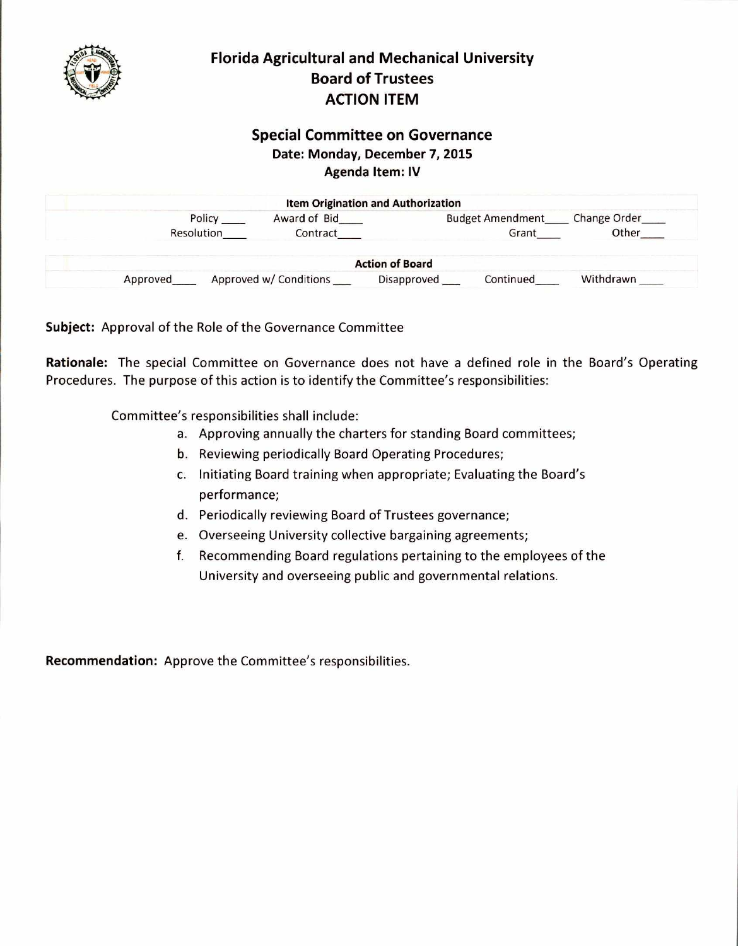

## **Florida Agricultural and Mechanical University Board of Trustees ACTION ITEM**

## **Special Committee on Governance Date: Monday, December 7, 2015 Agenda Item: IV**

|          |                        | <b>Item Origination and Authorization</b> |                         |              |
|----------|------------------------|-------------------------------------------|-------------------------|--------------|
|          | Policy<br>Award of Bid |                                           | <b>Budget Amendment</b> | Change Order |
|          | Resolution<br>Contract |                                           | Grant                   | Other        |
|          |                        | <b>Action of Board</b>                    |                         |              |
| Approved | Approved w/ Conditions | Disapproved                               | Continued               | Withdrawn    |

**Subject:** Approval of the Role of the Governance Committee

**Rationale:** The special Committee on Governance does not have a defined role in the Board's Operating Procedures. The purpose of this action is to identify the Committee's responsibilities:

Committee's responsibilities shall include:

- a. Approving annually the charters for standing Board committees;
- b. Reviewing periodically Board Operating Procedures;
- c. Initiating Board training when appropriate; Evaluating the Board's performance;
- d. Periodically reviewing Board of Trustees governance;
- e. Overseeing University collective bargaining agreements;
- f. Recommending Board regulations pertaining to the employees of the University and overseeing public and governmental relations.

**Recommendation:** Approve the Committee's responsibilities.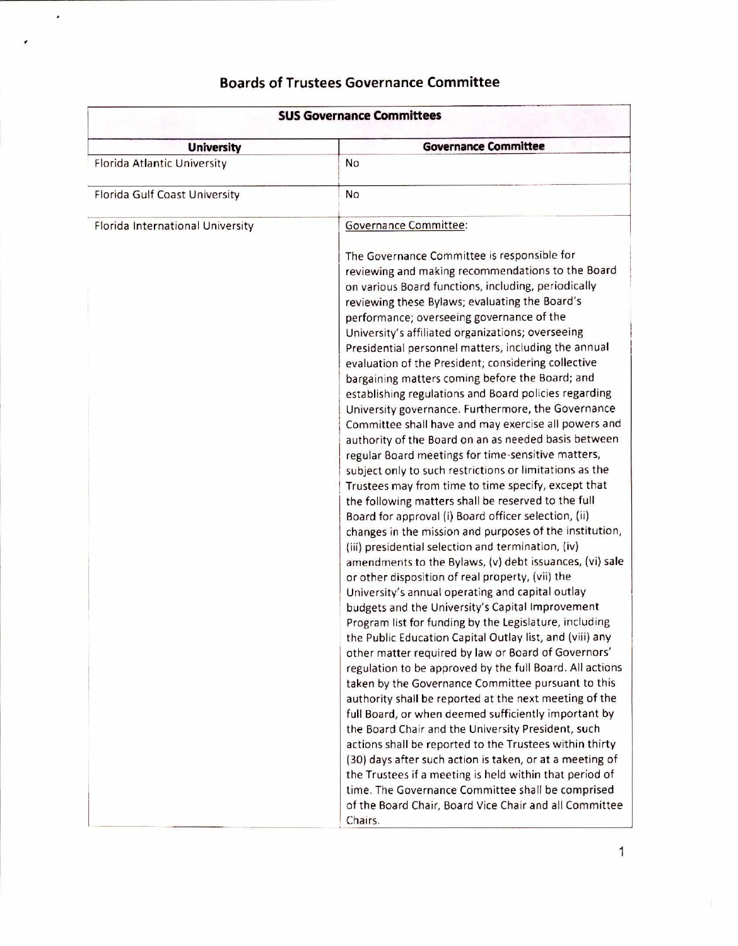## **Boards of Trustees Governance Committee**

 $\bullet$ 

| <b>SUS Governance Committees</b>     |                                                                                                                                                                                                                                                                                                                                                                                                                                                                                                                                                                                                                                                                                                                                                                                                                                                                                                                                                                                                                                                                                                                                                                                                                                                                                                                                                                                                                                                                                                                                                                                                                                                                                                                                                                                                                                                                                                                                                                                                                                                                                                                                |  |  |  |
|--------------------------------------|--------------------------------------------------------------------------------------------------------------------------------------------------------------------------------------------------------------------------------------------------------------------------------------------------------------------------------------------------------------------------------------------------------------------------------------------------------------------------------------------------------------------------------------------------------------------------------------------------------------------------------------------------------------------------------------------------------------------------------------------------------------------------------------------------------------------------------------------------------------------------------------------------------------------------------------------------------------------------------------------------------------------------------------------------------------------------------------------------------------------------------------------------------------------------------------------------------------------------------------------------------------------------------------------------------------------------------------------------------------------------------------------------------------------------------------------------------------------------------------------------------------------------------------------------------------------------------------------------------------------------------------------------------------------------------------------------------------------------------------------------------------------------------------------------------------------------------------------------------------------------------------------------------------------------------------------------------------------------------------------------------------------------------------------------------------------------------------------------------------------------------|--|--|--|
| <b>University</b>                    | <b>Governance Committee</b>                                                                                                                                                                                                                                                                                                                                                                                                                                                                                                                                                                                                                                                                                                                                                                                                                                                                                                                                                                                                                                                                                                                                                                                                                                                                                                                                                                                                                                                                                                                                                                                                                                                                                                                                                                                                                                                                                                                                                                                                                                                                                                    |  |  |  |
| <b>Florida Atlantic University</b>   | No                                                                                                                                                                                                                                                                                                                                                                                                                                                                                                                                                                                                                                                                                                                                                                                                                                                                                                                                                                                                                                                                                                                                                                                                                                                                                                                                                                                                                                                                                                                                                                                                                                                                                                                                                                                                                                                                                                                                                                                                                                                                                                                             |  |  |  |
| <b>Florida Gulf Coast University</b> | No                                                                                                                                                                                                                                                                                                                                                                                                                                                                                                                                                                                                                                                                                                                                                                                                                                                                                                                                                                                                                                                                                                                                                                                                                                                                                                                                                                                                                                                                                                                                                                                                                                                                                                                                                                                                                                                                                                                                                                                                                                                                                                                             |  |  |  |
| Florida International University     | Governance Committee:                                                                                                                                                                                                                                                                                                                                                                                                                                                                                                                                                                                                                                                                                                                                                                                                                                                                                                                                                                                                                                                                                                                                                                                                                                                                                                                                                                                                                                                                                                                                                                                                                                                                                                                                                                                                                                                                                                                                                                                                                                                                                                          |  |  |  |
|                                      | The Governance Committee is responsible for<br>reviewing and making recommendations to the Board<br>on various Board functions, including, periodically<br>reviewing these Bylaws; evaluating the Board's<br>performance; overseeing governance of the<br>University's affiliated organizations; overseeing<br>Presidential personnel matters, including the annual<br>evaluation of the President; considering collective<br>bargaining matters coming before the Board; and<br>establishing regulations and Board policies regarding<br>University governance. Furthermore, the Governance<br>Committee shall have and may exercise all powers and<br>authority of the Board on an as needed basis between<br>regular Board meetings for time-sensitive matters,<br>subject only to such restrictions or limitations as the<br>Trustees may from time to time specify, except that<br>the following matters shall be reserved to the full<br>Board for approval (i) Board officer selection, (ii)<br>changes in the mission and purposes of the institution,<br>(iii) presidential selection and termination, (iv)<br>amendments to the Bylaws, (v) debt issuances, (vi) sale<br>or other disposition of real property, (vii) the<br>University's annual operating and capital outlay<br>budgets and the University's Capital Improvement<br>Program list for funding by the Legislature, including<br>the Public Education Capital Outlay list, and (viii) any<br>other matter required by law or Board of Governors'<br>regulation to be approved by the full Board. All actions<br>taken by the Governance Committee pursuant to this<br>authority shall be reported at the next meeting of the<br>full Board, or when deemed sufficiently important by<br>the Board Chair and the University President, such<br>actions shall be reported to the Trustees within thirty<br>(30) days after such action is taken, or at a meeting of<br>the Trustees if a meeting is held within that period of<br>time. The Governance Committee shall be comprised<br>of the Board Chair, Board Vice Chair and all Committee<br>Chairs. |  |  |  |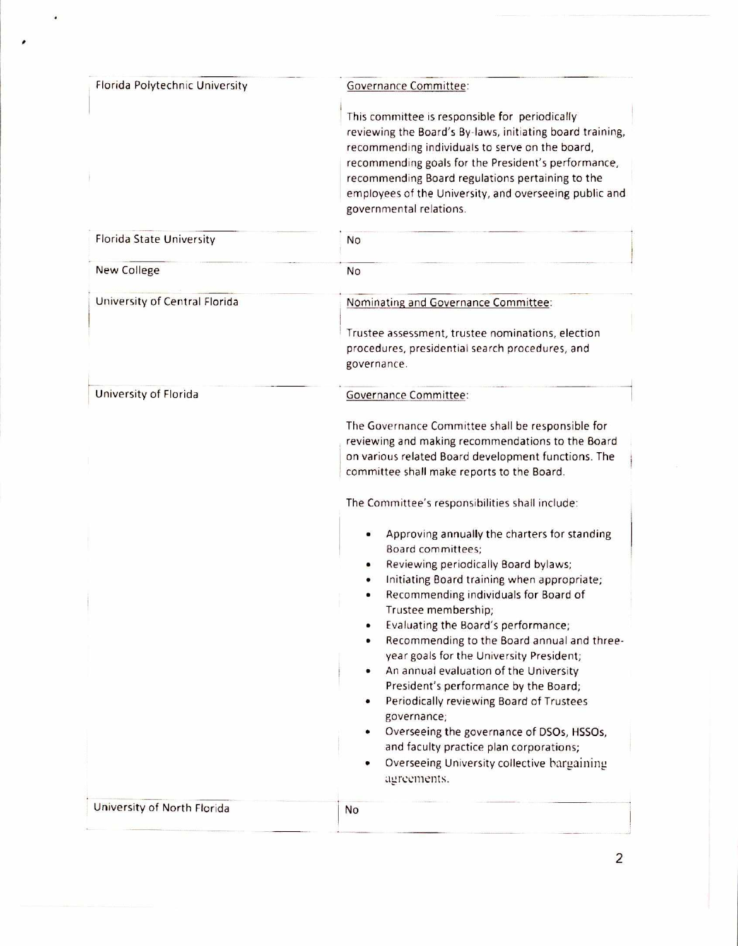| Florida Polytechnic University  | Governance Committee:                                                                                                                                                                                                                                                                                                                                                                                                                                                                                                                                                                                                                                                                                                  |  |  |
|---------------------------------|------------------------------------------------------------------------------------------------------------------------------------------------------------------------------------------------------------------------------------------------------------------------------------------------------------------------------------------------------------------------------------------------------------------------------------------------------------------------------------------------------------------------------------------------------------------------------------------------------------------------------------------------------------------------------------------------------------------------|--|--|
|                                 | This committee is responsible for periodically<br>reviewing the Board's By-laws, initiating board training,<br>recommending individuals to serve on the board,<br>recommending goals for the President's performance,<br>recommending Board regulations pertaining to the<br>employees of the University, and overseeing public and<br>governmental relations.                                                                                                                                                                                                                                                                                                                                                         |  |  |
| <b>Florida State University</b> | No                                                                                                                                                                                                                                                                                                                                                                                                                                                                                                                                                                                                                                                                                                                     |  |  |
| <b>New College</b>              | No                                                                                                                                                                                                                                                                                                                                                                                                                                                                                                                                                                                                                                                                                                                     |  |  |
| University of Central Florida   | Nominating and Governance Committee:<br>Trustee assessment, trustee nominations, election                                                                                                                                                                                                                                                                                                                                                                                                                                                                                                                                                                                                                              |  |  |
|                                 | procedures, presidential search procedures, and<br>governance.                                                                                                                                                                                                                                                                                                                                                                                                                                                                                                                                                                                                                                                         |  |  |
| University of Florida           | <b>Governance Committee:</b><br>The Governance Committee shall be responsible for<br>reviewing and making recommendations to the Board<br>on various related Board development functions. The<br>committee shall make reports to the Board.                                                                                                                                                                                                                                                                                                                                                                                                                                                                            |  |  |
|                                 | The Committee's responsibilities shall include:<br>Approving annually the charters for standing<br>Board committees;<br>Reviewing periodically Board bylaws;<br>Initiating Board training when appropriate;<br>Recommending individuals for Board of<br>Trustee membership;<br>Evaluating the Board's performance;<br>Recommending to the Board annual and three-<br>year goals for the University President;<br>An annual evaluation of the University<br>President's performance by the Board;<br>Periodically reviewing Board of Trustees<br>٠<br>governance;<br>Overseeing the governance of DSOs, HSSOs,<br>and faculty practice plan corporations;<br>Overseeing University collective bargaining<br>agreements. |  |  |
| University of North Florida     | No                                                                                                                                                                                                                                                                                                                                                                                                                                                                                                                                                                                                                                                                                                                     |  |  |

 $\bullet$ 

2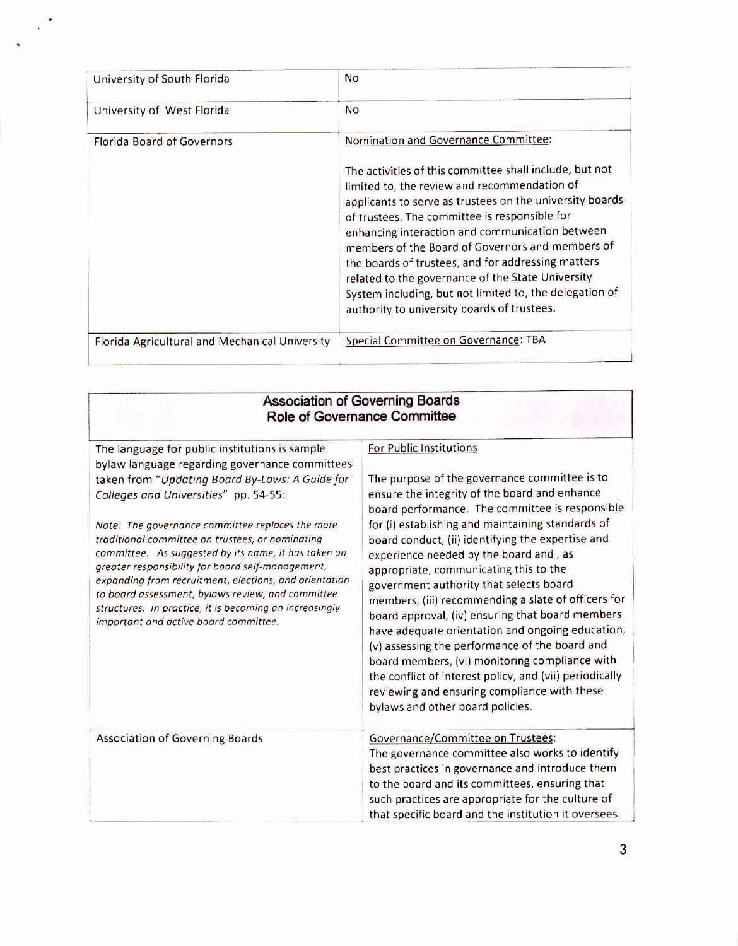| University of South Florida                    | No                                                                                                                                                                                                                                                                                                                                                                                                                                                                                                                                               |
|------------------------------------------------|--------------------------------------------------------------------------------------------------------------------------------------------------------------------------------------------------------------------------------------------------------------------------------------------------------------------------------------------------------------------------------------------------------------------------------------------------------------------------------------------------------------------------------------------------|
| University of West Florida                     | No                                                                                                                                                                                                                                                                                                                                                                                                                                                                                                                                               |
| Florida Board of Governors                     | Nomination and Governance Committee:                                                                                                                                                                                                                                                                                                                                                                                                                                                                                                             |
|                                                | The activities of this committee shall include, but not<br>limited to, the review and recommendation of<br>applicants to serve as trustees on the university boards<br>of trustees. The committee is responsible for<br>enhancing interaction and communication between<br>members of the Board of Governors and members of<br>the boards of trustees, and for addressing matters<br>related to the governance of the State University<br>System including, but not limited to, the delegation of<br>authority to university boards of trustees. |
| Florida Agricultural and Mechanical University | Special Committee on Governance: TBA                                                                                                                                                                                                                                                                                                                                                                                                                                                                                                             |

 $\ddot{\phantom{a}}$ 

 $\tilde{\phantom{a}}$ 

## **Association of Governing Boards Role of Governance Committee**

| The language for public institutions is sample<br>bylaw language regarding governance committees                                                                                                                                                                                                                                                                                                                                     | For Public Institutions                                                                                                                                                                                                                                                                                                                                                                                                                                                                                                                                                                                                                                 |
|--------------------------------------------------------------------------------------------------------------------------------------------------------------------------------------------------------------------------------------------------------------------------------------------------------------------------------------------------------------------------------------------------------------------------------------|---------------------------------------------------------------------------------------------------------------------------------------------------------------------------------------------------------------------------------------------------------------------------------------------------------------------------------------------------------------------------------------------------------------------------------------------------------------------------------------------------------------------------------------------------------------------------------------------------------------------------------------------------------|
| taken from "Updating Board By-Laws: A Guide for<br>Colleges and Universities" pp. 54-55:                                                                                                                                                                                                                                                                                                                                             | The purpose of the governance committee is to<br>ensure the integrity of the board and enhance<br>board performance. The committee is responsible                                                                                                                                                                                                                                                                                                                                                                                                                                                                                                       |
| Note: The governance committee replaces the more<br>traditional committee on trustees, or nominating<br>committee. As suggested by its name, it has taken on<br>greater responsibility for board self-management,<br>expanding from recruitment, elections, and orientation<br>to board assessment, bylaws review, and committee<br>structures. In practice, it is becoming an increasingly<br>important and active board committee. | for (i) establishing and maintaining standards of<br>board conduct, (ii) identifying the expertise and<br>experience needed by the board and, as<br>appropriate, communicating this to the<br>government authority that selects board<br>members, (iii) recommending a slate of officers for<br>board approval, (iv) ensuring that board members<br>have adequate orientation and ongoing education,<br>(v) assessing the performance of the board and<br>board members, (vi) monitoring compliance with<br>the conflict of interest policy, and (vii) periodically<br>reviewing and ensuring compliance with these<br>bylaws and other board policies. |
| <b>Association of Governing Boards</b>                                                                                                                                                                                                                                                                                                                                                                                               | Governance/Committee on Trustees:<br>The governance committee also works to identify<br>best practices in governance and introduce them<br>to the board and its committees, ensuring that<br>such practices are appropriate for the culture of<br>that specific board and the institution it oversees.                                                                                                                                                                                                                                                                                                                                                  |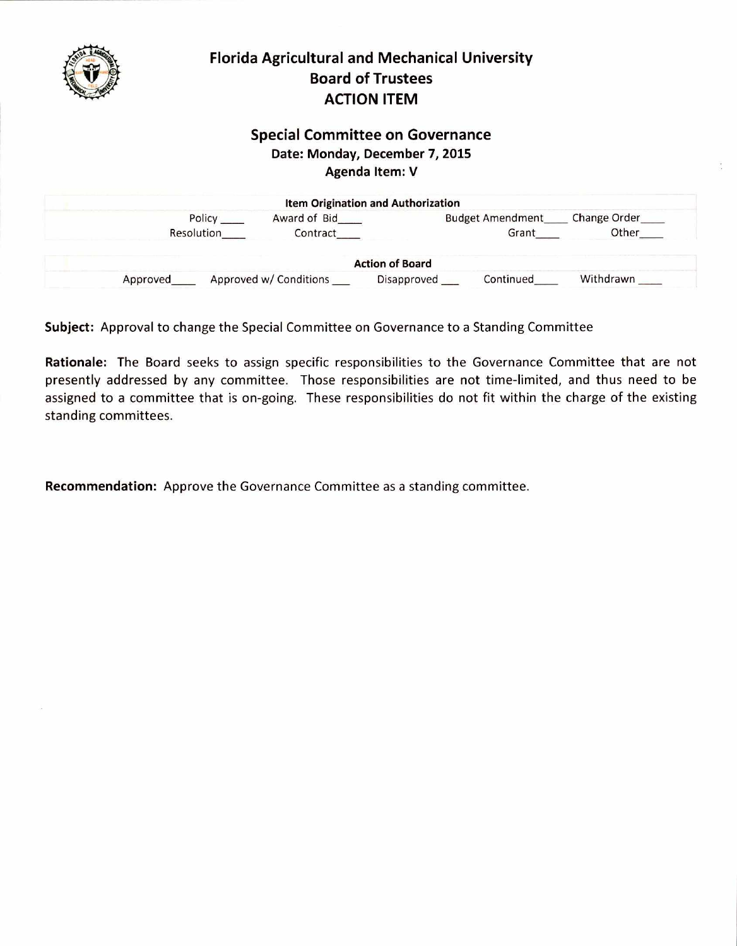|          | <b>Florida Agricultural and Mechanical University</b><br><b>Board of Trustees</b><br><b>ACTION ITEM</b> |                        |                                                                                            |           |                               |  |
|----------|---------------------------------------------------------------------------------------------------------|------------------------|--------------------------------------------------------------------------------------------|-----------|-------------------------------|--|
|          |                                                                                                         |                        | <b>Special Committee on Governance</b><br>Date: Monday, December 7, 2015<br>Agenda Item: V |           |                               |  |
|          |                                                                                                         |                        | Item Origination and Authorization                                                         |           |                               |  |
|          | Policy __                                                                                               | Award of Bid           |                                                                                            |           | Budget Amendment Change Order |  |
|          | Resolution                                                                                              | Contract               |                                                                                            | Grant     | Other                         |  |
|          |                                                                                                         |                        | <b>Action of Board</b>                                                                     |           |                               |  |
| Approved |                                                                                                         | Approved w/ Conditions | Disapproved                                                                                | Continued | Withdrawn                     |  |

**Subject:** Approval to change the Special Committee on Governance to a Standing Committee

**Rationale:** The Board seeks to assign specific responsibilities to the Governance Committee that are not presently addressed by any committee. Those responsibilities are not time-limited, and thus need to be assigned to a committee that is on-going. These responsibilities do not fit within the charge of the existing standing committees.

**Recommendation:** Approve the Governance Committee as a standing committee.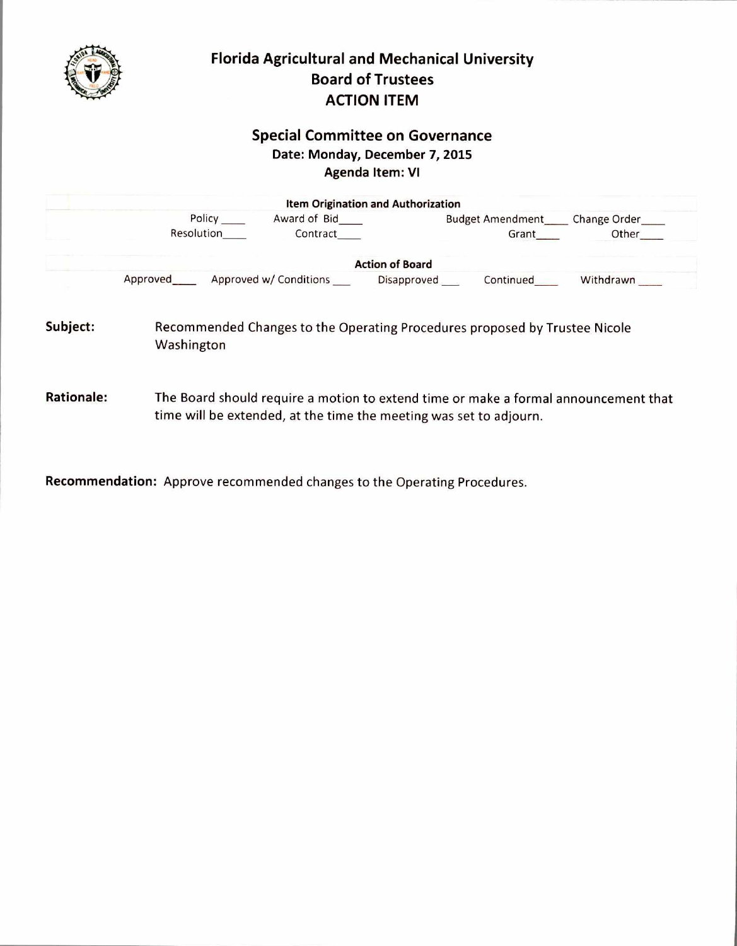|                   |                                                                                                                                                           | <b>Board of Trustees</b><br><b>ACTION ITEM</b>           | <b>Florida Agricultural and Mechanical University</b>                                                          |       |
|-------------------|-----------------------------------------------------------------------------------------------------------------------------------------------------------|----------------------------------------------------------|----------------------------------------------------------------------------------------------------------------|-------|
|                   |                                                                                                                                                           | <b>Special Committee on Governance</b>                   |                                                                                                                |       |
|                   |                                                                                                                                                           | Date: Monday, December 7, 2015<br><b>Agenda Item: VI</b> |                                                                                                                |       |
|                   |                                                                                                                                                           | Item Origination and Authorization                       |                                                                                                                |       |
|                   | <b>Resolution</b>                                                                                                                                         | Policy ______ Award of Bid_____<br>Contract              | Budget Amendment_____ Change Order____                                                                         | Other |
|                   |                                                                                                                                                           |                                                          | <b>Action of Board</b>                                                                                         |       |
|                   |                                                                                                                                                           |                                                          | Approved________ Approved w/ Conditions __________ Disapproved __________ Continued __________ Withdrawn _____ |       |
| Subject:          | Washington                                                                                                                                                |                                                          | Recommended Changes to the Operating Procedures proposed by Trustee Nicole                                     |       |
| <b>Rationale:</b> | The Board should require a motion to extend time or make a formal announcement that<br>time will be extended, at the time the meeting was set to adjourn. |                                                          |                                                                                                                |       |

**Recommendation:** Approve recommended changes to the Operating Procedures.